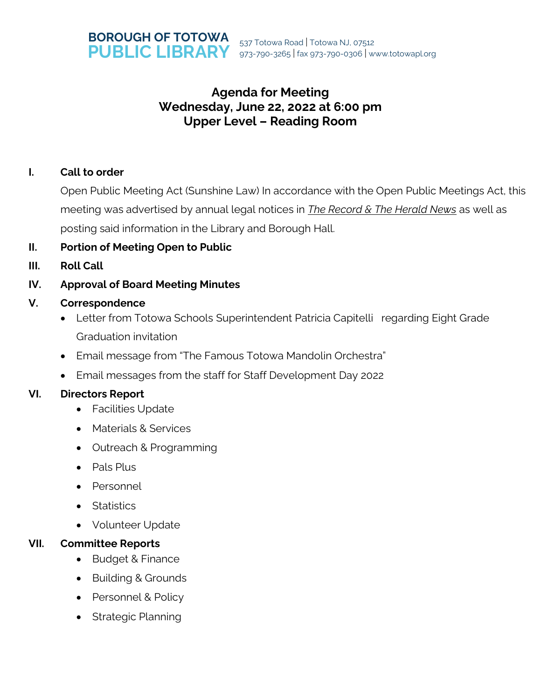

# **Agenda for Meeting Wednesday, June 22, 2022 at 6:00 pm Upper Level – Reading Room**

### **I. Call to order**

Open Public Meeting Act (Sunshine Law) In accordance with the Open Public Meetings Act, this meeting was advertised by annual legal notices in *The Record & The Herald News* as well as posting said information in the Library and Borough Hall.

- **II. Portion of Meeting Open to Public**
- **III. Roll Call**

# **IV. Approval of Board Meeting Minutes**

### **V. Correspondence**

- Letter from Totowa Schools Superintendent Patricia Capitelli regarding Eight Grade Graduation invitation
- Email message from "The Famous Totowa Mandolin Orchestra"
- Email messages from the staff for Staff Development Day 2022

### **VI. Directors Report**

- Facilities Update
- Materials & Services
- Outreach & Programming
- Pals Plus
- Personnel
- Statistics
- Volunteer Update

# **VII. Committee Reports**

- Budget & Finance
- Building & Grounds
- Personnel & Policy
- Strategic Planning